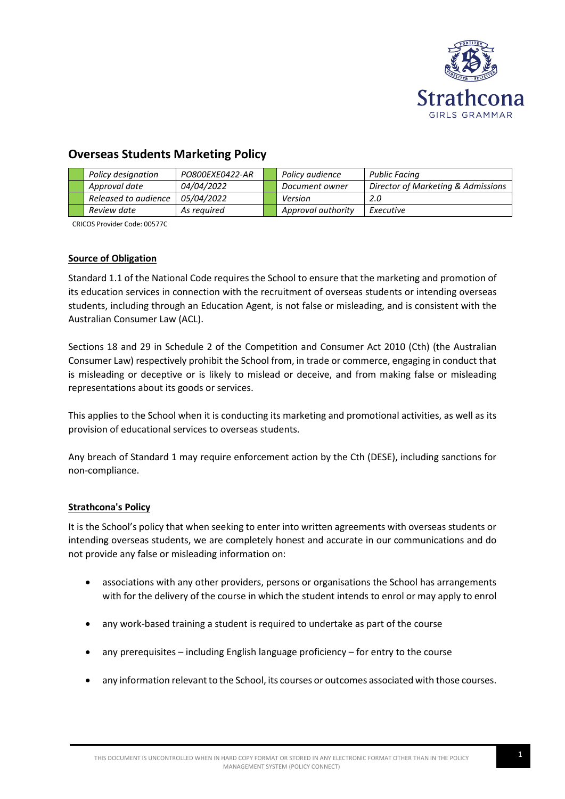

# **Overseas Students Marketing Policy**

| Policy designation   | PO800EXE0422-AR   | Policy audience    | <b>Public Facing</b>               |
|----------------------|-------------------|--------------------|------------------------------------|
| Approval date        | <i>04/04/2022</i> | Document owner     | Director of Marketing & Admissions |
| Released to audience | 05/04/2022        | Version            | 2.0                                |
| Review date          | As reauired       | Approval authority | Executive                          |

CRICOS Provider Code: 00577C

# **Source of Obligation**

Standard 1.1 of the National Code requires the School to ensure that the marketing and promotion of its education services in connection with the recruitment of overseas students or intending overseas students, including through an Education Agent, is not false or misleading, and is consistent with the Australian Consumer Law (ACL).

Sections 18 and 29 in Schedule 2 of the Competition and Consumer Act 2010 (Cth) (the Australian Consumer Law) respectively prohibit the School from, in trade or commerce, engaging in conduct that is misleading or deceptive or is likely to mislead or deceive, and from making false or misleading representations about its goods or services.

This applies to the School when it is conducting its marketing and promotional activities, as well as its provision of educational services to overseas students.

Any breach of Standard 1 may require enforcement action by the Cth (DESE), including sanctions for non-compliance.

# **Strathcona's Policy**

It is the School's policy that when seeking to enter into written agreements with overseas students or intending overseas students, we are completely honest and accurate in our communications and do not provide any false or misleading information on:

- associations with any other providers, persons or organisations the School has arrangements with for the delivery of the course in which the student intends to enrol or may apply to enrol
- any work-based training a student is required to undertake as part of the course
- any prerequisites including English language proficiency for entry to the course
- any information relevant to the School, its courses or outcomes associated with those courses.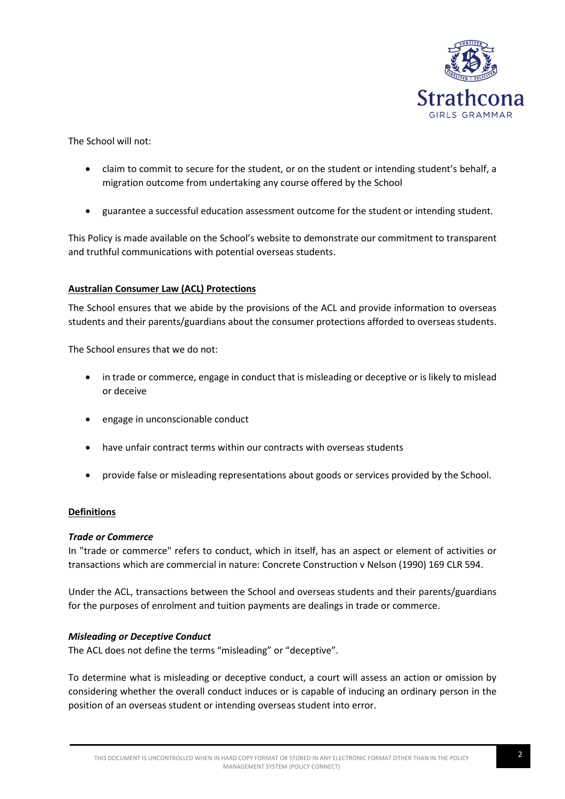

The School will not:

- claim to commit to secure for the student, or on the student or intending student's behalf, a migration outcome from undertaking any course offered by the School
- guarantee a successful education assessment outcome for the student or intending student.

This Policy is made available on the School's website to demonstrate our commitment to transparent and truthful communications with potential overseas students.

# **Australian Consumer Law (ACL) Protections**

The School ensures that we abide by the provisions of the ACL and provide information to overseas students and their parents/guardians about the consumer protections afforded to overseas students.

The School ensures that we do not:

- in trade or commerce, engage in conduct that is misleading or deceptive or is likely to mislead or deceive
- engage in unconscionable conduct
- have unfair contract terms within our contracts with overseas students
- provide false or misleading representations about goods or services provided by the School.

# **Definitions**

# *Trade or Commerce*

In "trade or commerce" refers to conduct, which in itself, has an aspect or element of activities or transactions which are commercial in nature: Concrete Construction v Nelson (1990) 169 CLR 594.

Under the ACL, transactions between the School and overseas students and their parents/guardians for the purposes of enrolment and tuition payments are dealings in trade or commerce.

# *Misleading or Deceptive Conduct*

The ACL does not define the terms "misleading" or "deceptive".

To determine what is misleading or deceptive conduct, a court will assess an action or omission by considering whether the overall conduct induces or is capable of inducing an ordinary person in the position of an overseas student or intending overseas student into error.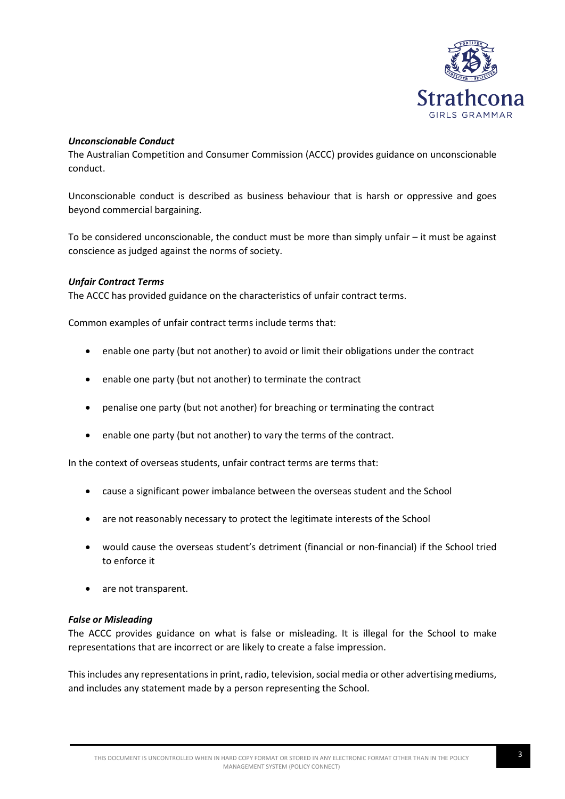

# *Unconscionable Conduct*

The Australian Competition and Consumer Commission (ACCC) provides guidance on unconscionable conduct.

Unconscionable conduct is described as business behaviour that is harsh or oppressive and goes beyond commercial bargaining.

To be considered unconscionable, the conduct must be more than simply unfair – it must be against conscience as judged against the norms of society.

# *Unfair Contract Terms*

The ACCC has provided guidance on the characteristics of unfair contract terms.

Common examples of unfair contract terms include terms that:

- enable one party (but not another) to avoid or limit their obligations under the contract
- enable one party (but not another) to terminate the contract
- penalise one party (but not another) for breaching or terminating the contract
- enable one party (but not another) to vary the terms of the contract.

In the context of overseas students, unfair contract terms are terms that:

- cause a significant power imbalance between the overseas student and the School
- are not reasonably necessary to protect the legitimate interests of the School
- would cause the overseas student's detriment (financial or non-financial) if the School tried to enforce it
- are not transparent.

# *False or Misleading*

The ACCC provides guidance on what is false or misleading. It is illegal for the School to make representations that are incorrect or are likely to create a false impression.

This includes any representations in print, radio, television, social media or other advertising mediums, and includes any statement made by a person representing the School.